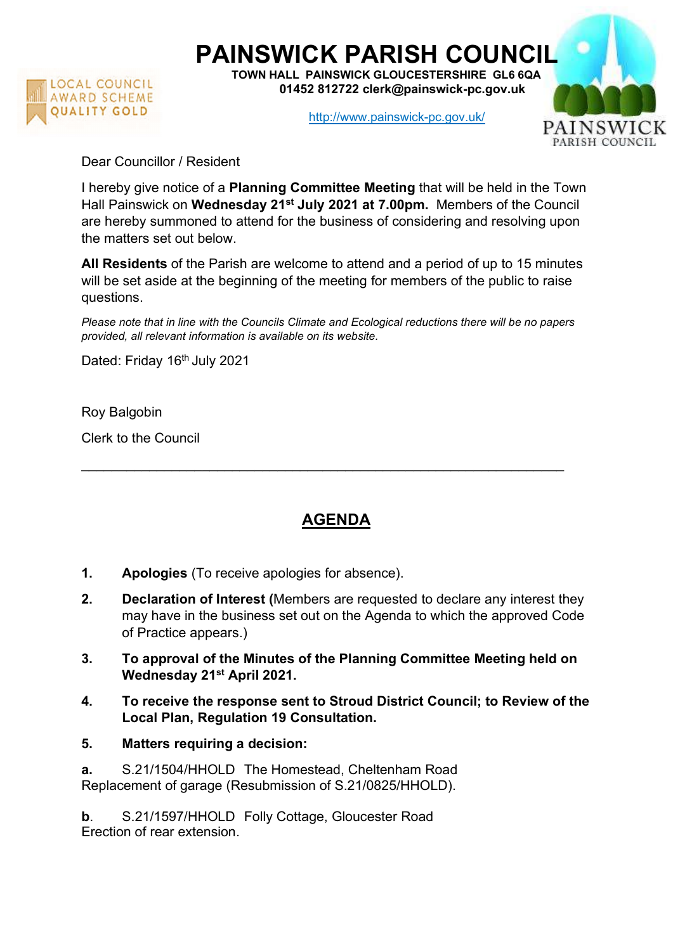

## PAINSWICK PARISH COUNCIL

TOWN HALL PAINSWICK GLOUCESTERSHIRE GL6 6QA 01452 812722 clerk@painswick-pc.gov.uk

http://www.painswick-pc.gov.uk/



Dear Councillor / Resident

I hereby give notice of a Planning Committee Meeting that will be held in the Town Hall Painswick on Wednesday 21<sup>st</sup> July 2021 at 7.00pm. Members of the Council are hereby summoned to attend for the business of considering and resolving upon the matters set out below.

All Residents of the Parish are welcome to attend and a period of up to 15 minutes will be set aside at the beginning of the meeting for members of the public to raise questions.

Please note that in line with the Councils Climate and Ecological reductions there will be no papers provided, all relevant information is available on its website.

Dated: Friday 16<sup>th</sup> July 2021

Roy Balgobin

Clerk to the Council

## AGENDA

\_\_\_\_\_\_\_\_\_\_\_\_\_\_\_\_\_\_\_\_\_\_\_\_\_\_\_\_\_\_\_\_\_\_\_\_\_\_\_\_\_\_\_\_\_\_\_\_\_\_\_\_\_\_\_\_\_\_\_\_\_\_\_\_

- 1. Apologies (To receive apologies for absence).
- 2. Declaration of Interest (Members are requested to declare any interest they may have in the business set out on the Agenda to which the approved Code of Practice appears.)
- 3. To approval of the Minutes of the Planning Committee Meeting held on Wednesday 21st April 2021.
- 4. To receive the response sent to Stroud District Council; to Review of the Local Plan, Regulation 19 Consultation.
- 5. Matters requiring a decision:

a. S.21/1504/HHOLD The Homestead, Cheltenham Road Replacement of garage (Resubmission of S.21/0825/HHOLD).

b. S.21/1597/HHOLD Folly Cottage, Gloucester Road Erection of rear extension.